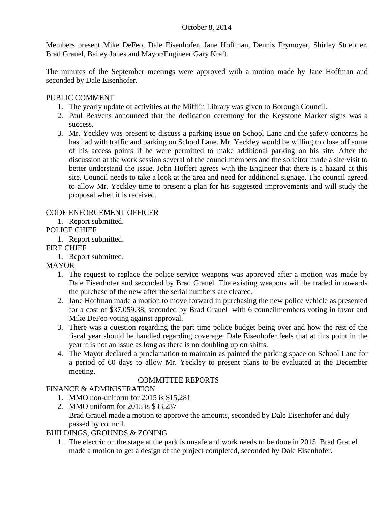## October 8, 2014

Members present Mike DeFeo, Dale Eisenhofer, Jane Hoffman, Dennis Frymoyer, Shirley Stuebner, Brad Grauel, Bailey Jones and Mayor/Engineer Gary Kraft.

The minutes of the September meetings were approved with a motion made by Jane Hoffman and seconded by Dale Eisenhofer.

## PUBLIC COMMENT

- 1. The yearly update of activities at the Mifflin Library was given to Borough Council.
- 2. Paul Beavens announced that the dedication ceremony for the Keystone Marker signs was a success.
- 3. Mr. Yeckley was present to discuss a parking issue on School Lane and the safety concerns he has had with traffic and parking on School Lane. Mr. Yeckley would be willing to close off some of his access points if he were permitted to make additional parking on his site. After the discussion at the work session several of the councilmembers and the solicitor made a site visit to better understand the issue. John Hoffert agrees with the Engineer that there is a hazard at this site. Council needs to take a look at the area and need for additional signage. The council agreed to allow Mr. Yeckley time to present a plan for his suggested improvements and will study the proposal when it is received.

# CODE ENFORCEMENT OFFICER

1. Report submitted.

## POLICE CHIEF

1. Report submitted.

## FIRE CHIEF

1. Report submitted.

## MAYOR

- 1. The request to replace the police service weapons was approved after a motion was made by Dale Eisenhofer and seconded by Brad Grauel. The existing weapons will be traded in towards the purchase of the new after the serial numbers are cleared.
- 2. Jane Hoffman made a motion to move forward in purchasing the new police vehicle as presented for a cost of \$37,059.38, seconded by Brad Grauel with 6 councilmembers voting in favor and Mike DeFeo voting against approval.
- 3. There was a question regarding the part time police budget being over and how the rest of the fiscal year should be handled regarding coverage. Dale Eisenhofer feels that at this point in the year it is not an issue as long as there is no doubling up on shifts.
- 4. The Mayor declared a proclamation to maintain as painted the parking space on School Lane for a period of 60 days to allow Mr. Yeckley to present plans to be evaluated at the December meeting.

# COMMITTEE REPORTS

## FINANCE & ADMINISTRATION

- 1. MMO non-uniform for 2015 is \$15,281
- 2. MMO uniform for 2015 is \$33,237 Brad Grauel made a motion to approve the amounts, seconded by Dale Eisenhofer and duly passed by council.

## BUILDINGS, GROUNDS & ZONING

1. The electric on the stage at the park is unsafe and work needs to be done in 2015. Brad Grauel made a motion to get a design of the project completed, seconded by Dale Eisenhofer.